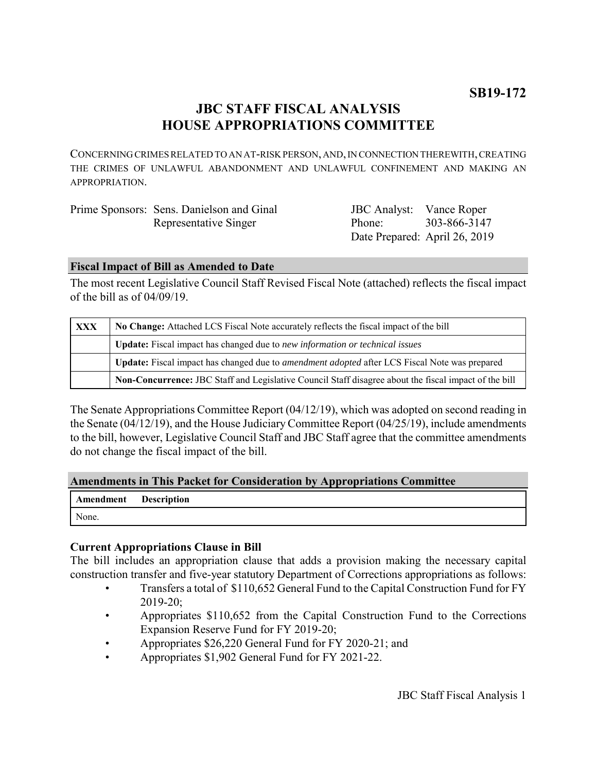# **JBC STAFF FISCAL ANALYSIS HOUSE APPROPRIATIONS COMMITTEE**

CONCERNING CRIMES RELATED TO AN AT-RISK PERSON, AND, IN CONNECTION THEREWITH, CREATING THE CRIMES OF UNLAWFUL ABANDONMENT AND UNLAWFUL CONFINEMENT AND MAKING AN APPROPRIATION.

| Prime Sponsors: Sens. Danielson and Ginal | <b>JBC</b> Analyst: Vance Roper |                               |
|-------------------------------------------|---------------------------------|-------------------------------|
| Representative Singer                     | Phone:                          | 303-866-3147                  |
|                                           |                                 | Date Prepared: April 26, 2019 |

## **Fiscal Impact of Bill as Amended to Date**

The most recent Legislative Council Staff Revised Fiscal Note (attached) reflects the fiscal impact of the bill as of 04/09/19.

| XXX | No Change: Attached LCS Fiscal Note accurately reflects the fiscal impact of the bill                 |  |
|-----|-------------------------------------------------------------------------------------------------------|--|
|     | Update: Fiscal impact has changed due to new information or technical issues                          |  |
|     | Update: Fiscal impact has changed due to <i>amendment adopted</i> after LCS Fiscal Note was prepared  |  |
|     | Non-Concurrence: JBC Staff and Legislative Council Staff disagree about the fiscal impact of the bill |  |

The Senate Appropriations Committee Report (04/12/19), which was adopted on second reading in the Senate (04/12/19), and the House Judiciary Committee Report (04/25/19), include amendments to the bill, however, Legislative Council Staff and JBC Staff agree that the committee amendments do not change the fiscal impact of the bill.

## **Amendments in This Packet for Consideration by Appropriations Committee**

| Amendment Description |  |
|-----------------------|--|
| None.                 |  |

## **Current Appropriations Clause in Bill**

The bill includes an appropriation clause that adds a provision making the necessary capital construction transfer and five-year statutory Department of Corrections appropriations as follows:

- Transfers a total of \$110,652 General Fund to the Capital Construction Fund for FY 2019-20;
- Appropriates \$110,652 from the Capital Construction Fund to the Corrections Expansion Reserve Fund for FY 2019-20;
- Appropriates \$26,220 General Fund for FY 2020-21; and
- Appropriates \$1,902 General Fund for FY 2021-22.